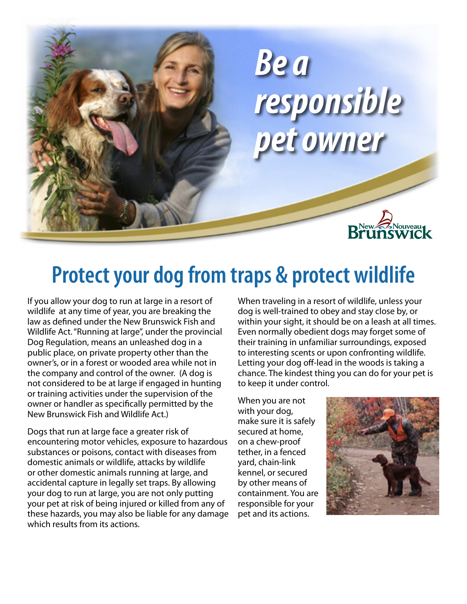

# **Protect your dog from traps & protect wildlife**

If you allow your dog to run at large in a resort of wildlife at any time of year, you are breaking the law as defined under the New Brunswick Fish and Wildlife Act. "Running at large", under the provincial Dog Regulation, means an unleashed dog in a public place, on private property other than the owner's, or in a forest or wooded area while not in the company and control of the owner. (A dog is not considered to be at large if engaged in hunting or training activities under the supervision of the owner or handler as specifically permitted by the New Brunswick Fish and Wildlife Act.)

Dogs that run at large face a greater risk of encountering motor vehicles, exposure to hazardous substances or poisons, contact with diseases from domestic animals or wildlife, attacks by wildlife or other domestic animals running at large, and accidental capture in legally set traps. By allowing your dog to run at large, you are not only putting your pet at risk of being injured or killed from any of these hazards, you may also be liable for any damage which results from its actions.

When traveling in a resort of wildlife, unless your dog is well-trained to obey and stay close by, or within your sight, it should be on a leash at all times. Even normally obedient dogs may forget some of their training in unfamiliar surroundings, exposed to interesting scents or upon confronting wildlife. Letting your dog off-lead in the woods is taking a chance. The kindest thing you can do for your pet is to keep it under control.

When you are not with your dog, make sure it is safely secured at home, on a chew-proof tether, in a fenced yard, chain-link kennel, or secured by other means of containment. You are responsible for your pet and its actions.

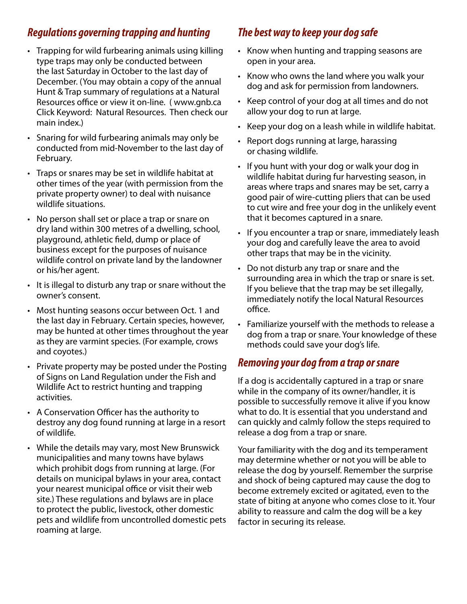### *Regulations governing trapping and hunting*

- Trapping for wild furbearing animals using killing type traps may only be conducted between the last Saturday in October to the last day of December. (You may obtain a copy of the annual Hunt & Trap summary of regulations at a Natural Resources office or view it on-line. ( www.gnb.ca Click Keyword: Natural Resources. Then check our main index.)
- Snaring for wild furbearing animals may only be conducted from mid-November to the last day of February.
- Traps or snares may be set in wildlife habitat at other times of the year (with permission from the private property owner) to deal with nuisance wildlife situations.
- No person shall set or place a trap or snare on dry land within 300 metres of a dwelling, school, playground, athletic field, dump or place of business except for the purposes of nuisance wildlife control on private land by the landowner or his/her agent.
- It is illegal to disturb any trap or snare without the owner's consent.
- Most hunting seasons occur between Oct. 1 and the last day in February. Certain species, however, may be hunted at other times throughout the year as they are varmint species. (For example, crows and coyotes.)
- Private property may be posted under the Posting of Signs on Land Regulation under the Fish and Wildlife Act to restrict hunting and trapping activities.
- A Conservation Officer has the authority to destroy any dog found running at large in a resort of wildlife.
- While the details may vary, most New Brunswick municipalities and many towns have bylaws which prohibit dogs from running at large. (For details on municipal bylaws in your area, contact your nearest municipal office or visit their web site.) These regulations and bylaws are in place to protect the public, livestock, other domestic pets and wildlife from uncontrolled domestic pets roaming at large.

## *The best way to keep your dog safe*

- Know when hunting and trapping seasons are open in your area.
- Know who owns the land where you walk your dog and ask for permission from landowners.
- Keep control of your dog at all times and do not allow your dog to run at large.
- Keep your dog on a leash while in wildlife habitat.
- Report dogs running at large, harassing or chasing wildlife.
- If you hunt with your dog or walk your dog in wildlife habitat during fur harvesting season, in areas where traps and snares may be set, carry a good pair of wire-cutting pliers that can be used to cut wire and free your dog in the unlikely event that it becomes captured in a snare.
- If you encounter a trap or snare, immediately leash your dog and carefully leave the area to avoid other traps that may be in the vicinity.
- Do not disturb any trap or snare and the surrounding area in which the trap or snare is set. If you believe that the trap may be set illegally, immediately notify the local Natural Resources office.
- Familiarize yourself with the methods to release a dog from a trap or snare. Your knowledge of these methods could save your dog's life.

### *Removing your dog from a trap or snare*

If a dog is accidentally captured in a trap or snare while in the company of its owner/handler, it is possible to successfully remove it alive if you know what to do. It is essential that you understand and can quickly and calmly follow the steps required to release a dog from a trap or snare.

Your familiarity with the dog and its temperament may determine whether or not you will be able to release the dog by yourself. Remember the surprise and shock of being captured may cause the dog to become extremely excited or agitated, even to the state of biting at anyone who comes close to it. Your ability to reassure and calm the dog will be a key factor in securing its release.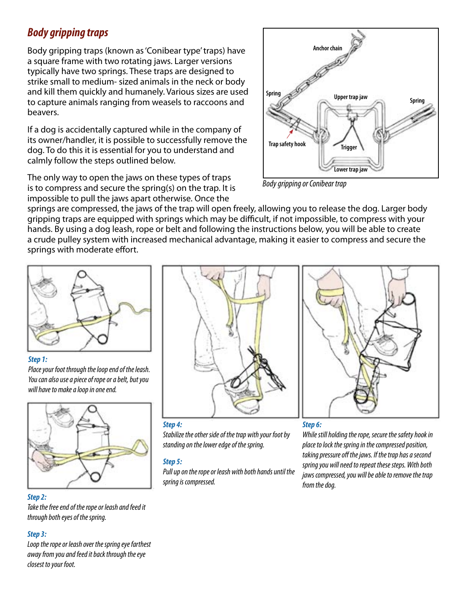### *Body gripping traps*

Body gripping traps (known as 'Conibear type' traps) have a square frame with two rotating jaws. Larger versions typically have two springs. These traps are designed to strike small to medium- sized animals in the neck or body and kill them quickly and humanely. Various sizes are used to capture animals ranging from weasels to raccoons and beavers.

If a dog is accidentally captured while in the company of its owner/handler, it is possible to successfully remove the dog. To do this it is essential for you to understand and calmly follow the steps outlined below.

The only way to open the jaws on these types of traps is to compress and secure the spring(s) on the trap. It is impossible to pull the jaws apart otherwise. Once the



*Body gripping or Conibear trap*

springs are compressed, the jaws of the trap will open freely, allowing you to release the dog. Larger body gripping traps are equipped with springs which may be difficult, if not impossible, to compress with your hands. By using a dog leash, rope or belt and following the instructions below, you will be able to create a crude pulley system with increased mechanical advantage, making it easier to compress and secure the springs with moderate effort.



#### *Step 1:*

*Place your foot through the loop end of the leash. You can also use a piece of rope or a belt, but you will have to make a loop in one end.*



#### *Step 2:*

*Take the free end of the rope or leash and feed it through both eyes of the spring.*

#### *Step 3:*

*Loop the rope or leash over the spring eye farthest away from you and feed it back through the eye closest to your foot.*



### *Step 6:*

*While still holding the rope, secure the safety hook in place to lock the spring in the compressed position, taking pressure off the jaws. If the trap has a second spring you will need to repeat these steps. With both jaws compressed, you will be able to remove the trap from the dog.*

#### *Step 4:*

*Stabilize the other side of the trap with your foot by standing on the lower edge of the spring.*

#### *Step 5:*

*Pull up on the rope or leash with both hands until the spring is compressed.*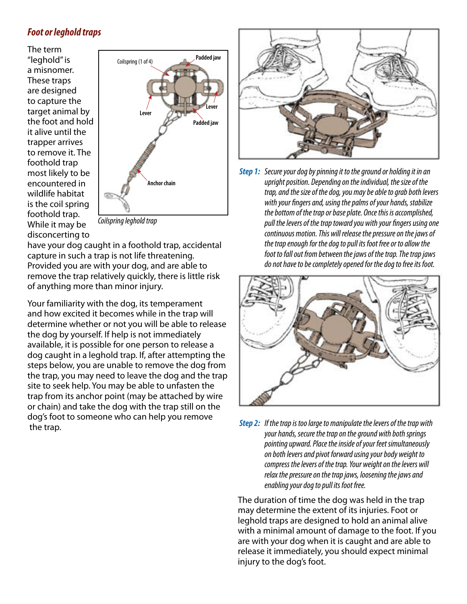### *Foot or leghold traps*

The term "leghold" is a misnomer. These traps are designed to capture the target animal by the foot and hold it alive until the trapper arrives to remove it. The foothold trap most likely to be encountered in wildlife habitat is the coil spring foothold trap. While it may be disconcerting to



*Coilspring leghold trap*

have your dog caught in a foothold trap, accidental capture in such a trap is not life threatening. Provided you are with your dog, and are able to remove the trap relatively quickly, there is little risk of anything more than minor injury.

Your familiarity with the dog, its temperament and how excited it becomes while in the trap will determine whether or not you will be able to release the dog by yourself. If help is not immediately available, it is possible for one person to release a dog caught in a leghold trap. If, after attempting the steps below, you are unable to remove the dog from the trap, you may need to leave the dog and the trap site to seek help. You may be able to unfasten the trap from its anchor point (may be attached by wire or chain) and take the dog with the trap still on the dog's foot to someone who can help you remove the trap.



*Step 1: Secure your dog by pinning it to the ground or holding it in an upright position. Depending on the individual, the size of the trap, and the size of the dog, you may be able to grab both levers with your fingers and, using the palms of your hands, stabilize the bottom of the trap or base plate. Once this is accomplished, pull the levers of the trap toward you with your fingers using one continuous motion. This will release the pressure on the jaws of the trap enough for the dog to pull its foot free or to allow the foot to fall out from between the jaws of the trap. The trap jaws do not have to be completely opened for the dog to free its foot.*



*Step 2: If the trap is too large to manipulate the levers of the trap with your hands, secure the trap on the ground with both springs pointing upward. Place the inside of your feet simultaneously on both levers and pivot forward using your body weight to compress the levers of the trap. Your weight on the levers will relax the pressure on the trap jaws, loosening the jaws and enabling your dog to pull its foot free.* 

The duration of time the dog was held in the trap may determine the extent of its injuries. Foot or leghold traps are designed to hold an animal alive with a minimal amount of damage to the foot. If you are with your dog when it is caught and are able to release it immediately, you should expect minimal injury to the dog's foot.